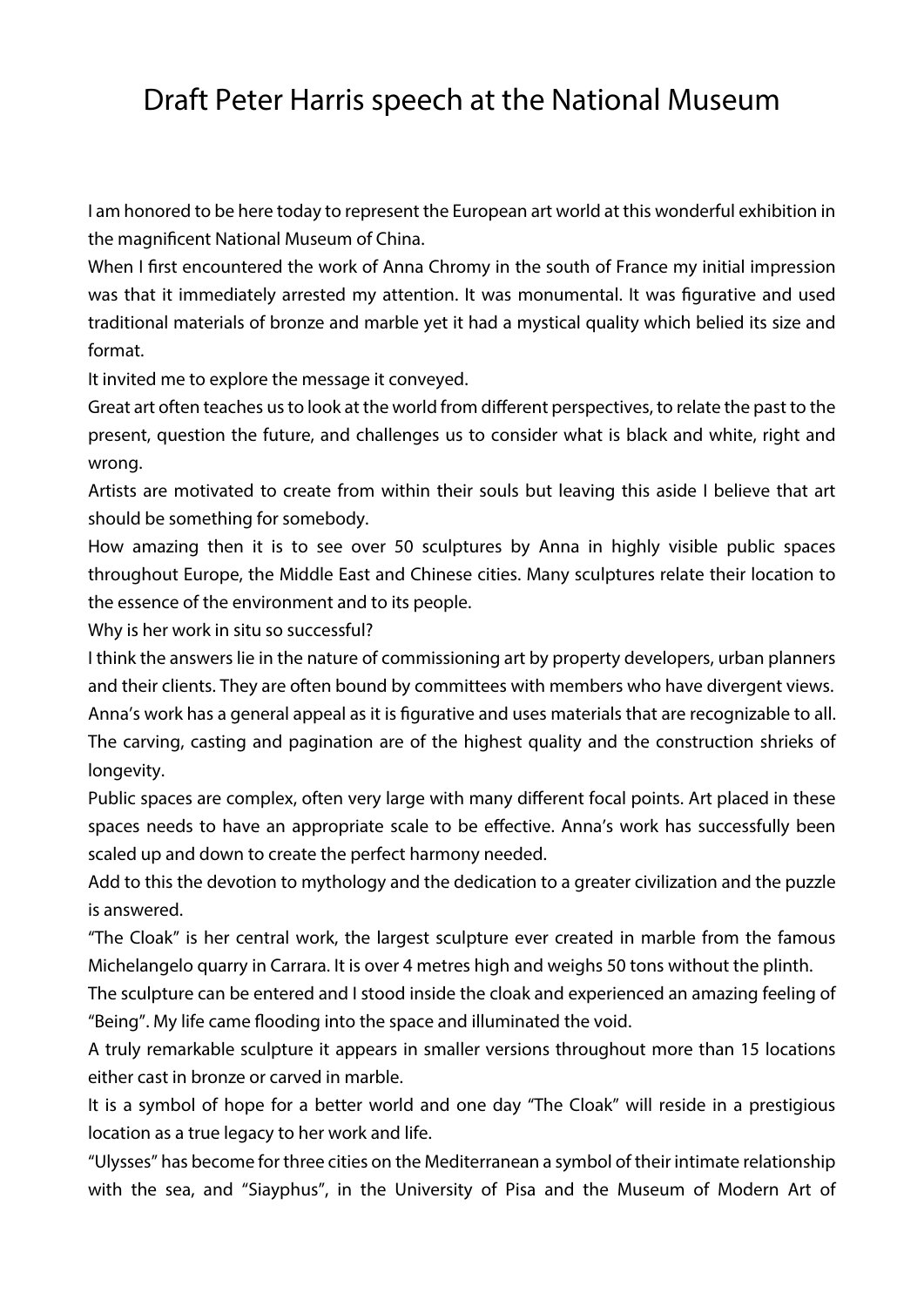## Draft Peter Harris speech at the National Museum

I am honored to be here today to represent the European art world at this wonderful exhibition in the magnificent National Museum of China.

When I first encountered the work of Anna Chromy in the south of France my initial impression was that it immediately arrested my attention. It was monumental. It was figurative and used traditional materials of bronze and marble yet it had a mystical quality which belied its size and format.

It invited me to explore the message it conveyed.

Great art often teaches us to look at the world from different perspectives, to relate the past to the present, question the future, and challenges us to consider what is black and white, right and wrong.

Artists are motivated to create from within their souls but leaving this aside I believe that art should be something for somebody.

How amazing then it is to see over 50 sculptures by Anna in highly visible public spaces throughout Europe, the Middle East and Chinese cities. Many sculptures relate their location to the essence of the environment and to its people.

Why is her work in situ so successful?

I think the answers lie in the nature of commissioning art by property developers, urban planners and their clients. They are often bound by committees with members who have divergent views.

Anna's work has a general appeal as it is figurative and uses materials that are recognizable to all. The carving, casting and pagination are of the highest quality and the construction shrieks of longevity.

Public spaces are complex, often very large with many different focal points. Art placed in these spaces needs to have an appropriate scale to be effective. Anna's work has successfully been scaled up and down to create the perfect harmony needed.

Add to this the devotion to mythology and the dedication to a greater civilization and the puzzle is answered.

"The Cloak" is her central work, the largest sculpture ever created in marble from the famous Michelangelo quarry in Carrara. It is over 4 metres high and weighs 50 tons without the plinth.

The sculpture can be entered and I stood inside the cloak and experienced an amazing feeling of "Being". My life came flooding into the space and illuminated the void.

A truly remarkable sculpture it appears in smaller versions throughout more than 15 locations either cast in bronze or carved in marble.

It is a symbol of hope for a better world and one day "The Cloak" will reside in a prestigious location as a true legacy to her work and life.

"Ulysses" has become for three cities on the Mediterranean a symbol of their intimate relationship with the sea, and "Siayphus", in the University of Pisa and the Museum of Modern Art of